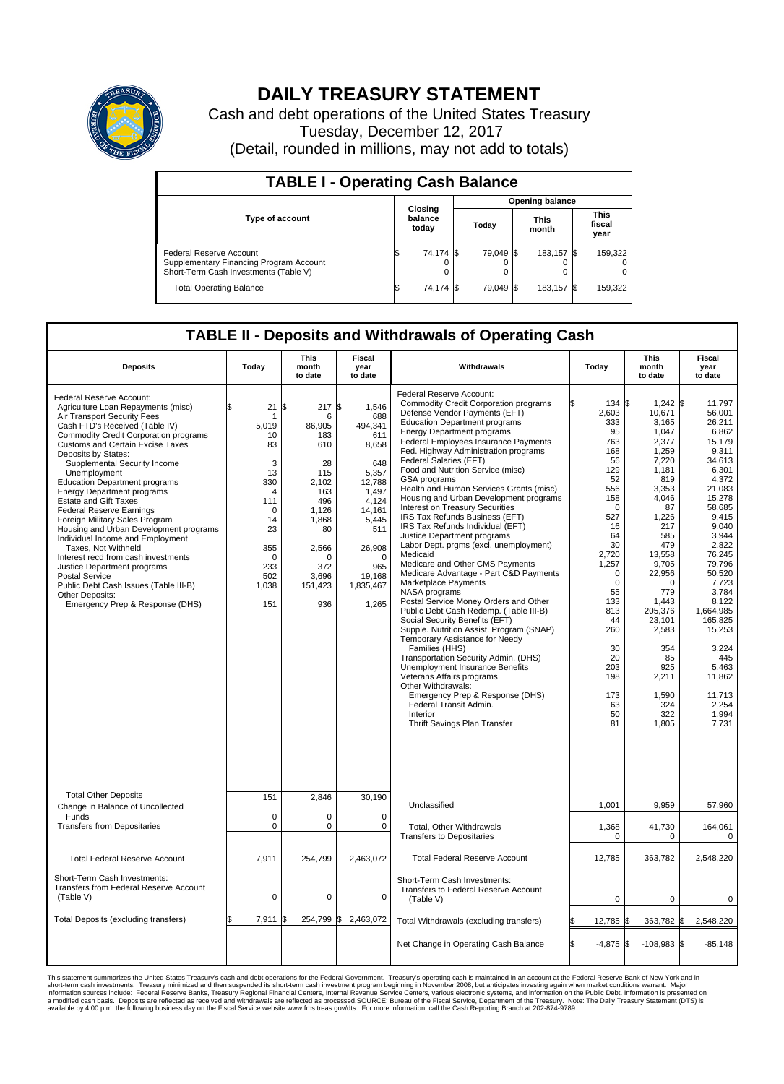

## **DAILY TREASURY STATEMENT**

Cash and debt operations of the United States Treasury Tuesday, December 12, 2017 (Detail, rounded in millions, may not add to totals)

| <b>TABLE I - Operating Cash Balance</b>                                                                     |    |                             |  |                        |  |                      |  |                               |  |  |  |
|-------------------------------------------------------------------------------------------------------------|----|-----------------------------|--|------------------------|--|----------------------|--|-------------------------------|--|--|--|
|                                                                                                             |    |                             |  | <b>Opening balance</b> |  |                      |  |                               |  |  |  |
| <b>Type of account</b>                                                                                      |    | Closing<br>balance<br>today |  | Today                  |  | <b>This</b><br>month |  | <b>This</b><br>fiscal<br>year |  |  |  |
| Federal Reserve Account<br>Supplementary Financing Program Account<br>Short-Term Cash Investments (Table V) |    | 74,174 \$                   |  | 79.049 \$              |  | 183.157 \$           |  | 159,322                       |  |  |  |
| <b>Total Operating Balance</b>                                                                              | ß. | 74,174 \$                   |  | 79.049 \$              |  | 183,157 \$           |  | 159,322                       |  |  |  |

## **TABLE II - Deposits and Withdrawals of Operating Cash**

| <b>Deposits</b>                                                                                                                                                                                                                                                                                                                                                                                                                                                                                                                                                                                                                                                                                                                                                                 | Today                                                                                                                                                          | <b>This</b><br>month<br>to date                                                                                                                     | <b>Fiscal</b><br>year<br>to date                                                                                                                                              | Withdrawals                                                                                                                                                                                                                                                                                                                                                                                                                                                                                                                                                                                                                                                                                                                                                                                                                                                                                                                                                                                                                                                                                                                                                                                                                              | Today                                                                                                                                                                                                                                                | <b>This</b><br>month<br>to date                                                                                                                                                                                                                                                             | <b>Fiscal</b><br>year<br>to date                                                                                                                                                                                                                                                                                        |
|---------------------------------------------------------------------------------------------------------------------------------------------------------------------------------------------------------------------------------------------------------------------------------------------------------------------------------------------------------------------------------------------------------------------------------------------------------------------------------------------------------------------------------------------------------------------------------------------------------------------------------------------------------------------------------------------------------------------------------------------------------------------------------|----------------------------------------------------------------------------------------------------------------------------------------------------------------|-----------------------------------------------------------------------------------------------------------------------------------------------------|-------------------------------------------------------------------------------------------------------------------------------------------------------------------------------|------------------------------------------------------------------------------------------------------------------------------------------------------------------------------------------------------------------------------------------------------------------------------------------------------------------------------------------------------------------------------------------------------------------------------------------------------------------------------------------------------------------------------------------------------------------------------------------------------------------------------------------------------------------------------------------------------------------------------------------------------------------------------------------------------------------------------------------------------------------------------------------------------------------------------------------------------------------------------------------------------------------------------------------------------------------------------------------------------------------------------------------------------------------------------------------------------------------------------------------|------------------------------------------------------------------------------------------------------------------------------------------------------------------------------------------------------------------------------------------------------|---------------------------------------------------------------------------------------------------------------------------------------------------------------------------------------------------------------------------------------------------------------------------------------------|-------------------------------------------------------------------------------------------------------------------------------------------------------------------------------------------------------------------------------------------------------------------------------------------------------------------------|
| Federal Reserve Account:<br>Agriculture Loan Repayments (misc)<br>Air Transport Security Fees<br>Cash FTD's Received (Table IV)<br>Commodity Credit Corporation programs<br><b>Customs and Certain Excise Taxes</b><br>Deposits by States:<br>Supplemental Security Income<br>Unemployment<br><b>Education Department programs</b><br><b>Energy Department programs</b><br><b>Estate and Gift Taxes</b><br><b>Federal Reserve Earnings</b><br>Foreign Military Sales Program<br>Housing and Urban Development programs<br>Individual Income and Employment<br>Taxes, Not Withheld<br>Interest recd from cash investments<br>Justice Department programs<br><b>Postal Service</b><br>Public Debt Cash Issues (Table III-B)<br>Other Deposits:<br>Emergency Prep & Response (DHS) | 21<br>\$.<br>-1<br>5,019<br>10<br>83<br>3<br>13<br>330<br>$\overline{4}$<br>111<br>$\mathbf 0$<br>14<br>23<br>355<br>$\mathbf 0$<br>233<br>502<br>1,038<br>151 | \$<br>217S<br>6<br>86,905<br>183<br>610<br>28<br>115<br>2,102<br>163<br>496<br>1,126<br>1,868<br>80<br>2,566<br>n<br>372<br>3,696<br>151,423<br>936 | 1,546<br>688<br>494,341<br>611<br>8,658<br>648<br>5,357<br>12,788<br>1,497<br>4.124<br>14,161<br>5,445<br>511<br>26,908<br>$\mathbf 0$<br>965<br>19.168<br>1,835,467<br>1,265 | Federal Reserve Account:<br><b>Commodity Credit Corporation programs</b><br>Defense Vendor Payments (EFT)<br><b>Education Department programs</b><br><b>Energy Department programs</b><br><b>Federal Employees Insurance Payments</b><br>Fed. Highway Administration programs<br>Federal Salaries (EFT)<br>Food and Nutrition Service (misc)<br><b>GSA</b> programs<br>Health and Human Services Grants (misc)<br>Housing and Urban Development programs<br>Interest on Treasury Securities<br>IRS Tax Refunds Business (EFT)<br>IRS Tax Refunds Individual (EFT)<br>Justice Department programs<br>Labor Dept. prgms (excl. unemployment)<br>Medicaid<br>Medicare and Other CMS Payments<br>Medicare Advantage - Part C&D Payments<br>Marketplace Payments<br>NASA programs<br>Postal Service Money Orders and Other<br>Public Debt Cash Redemp. (Table III-B)<br>Social Security Benefits (EFT)<br>Supple. Nutrition Assist. Program (SNAP)<br>Temporary Assistance for Needy<br>Families (HHS)<br>Transportation Security Admin. (DHS)<br>Unemployment Insurance Benefits<br>Veterans Affairs programs<br>Other Withdrawals:<br>Emergency Prep & Response (DHS)<br>Federal Transit Admin.<br>Interior<br>Thrift Savings Plan Transfer | 134 \$<br>2,603<br>333<br>95<br>763<br>168<br>56<br>129<br>52<br>556<br>158<br>$\Omega$<br>527<br>16<br>64<br>30<br>2,720<br>1,257<br>$\mathbf 0$<br>$\mathbf 0$<br>55<br>133<br>813<br>44<br>260<br>30<br>20<br>203<br>198<br>173<br>63<br>50<br>81 | $1,242$ \$<br>10,671<br>3,165<br>1,047<br>2,377<br>1,259<br>7,220<br>1,181<br>819<br>3,353<br>4,046<br>87<br>1,226<br>217<br>585<br>479<br>13,558<br>9,705<br>22,956<br>$\Omega$<br>779<br>1,443<br>205,376<br>23.101<br>2,583<br>354<br>85<br>925<br>2,211<br>1,590<br>324<br>322<br>1,805 | 11,797<br>56,001<br>26,211<br>6,862<br>15,179<br>9.311<br>34,613<br>6,301<br>4.372<br>21,083<br>15,278<br>58,685<br>9.415<br>9,040<br>3,944<br>2,822<br>76,245<br>79,796<br>50,520<br>7,723<br>3,784<br>8,122<br>1,664,985<br>165.825<br>15,253<br>3,224<br>445<br>5,463<br>11,862<br>11,713<br>2,254<br>1,994<br>7,731 |
| <b>Total Other Deposits</b><br>Change in Balance of Uncollected                                                                                                                                                                                                                                                                                                                                                                                                                                                                                                                                                                                                                                                                                                                 | 151                                                                                                                                                            | 2,846                                                                                                                                               | 30,190                                                                                                                                                                        | Unclassified                                                                                                                                                                                                                                                                                                                                                                                                                                                                                                                                                                                                                                                                                                                                                                                                                                                                                                                                                                                                                                                                                                                                                                                                                             | 1,001                                                                                                                                                                                                                                                | 9,959                                                                                                                                                                                                                                                                                       | 57,960                                                                                                                                                                                                                                                                                                                  |
| Funds<br><b>Transfers from Depositaries</b>                                                                                                                                                                                                                                                                                                                                                                                                                                                                                                                                                                                                                                                                                                                                     | $\mathbf 0$<br>$\mathbf 0$                                                                                                                                     | 0<br>0                                                                                                                                              | $\mathbf 0$<br>$\mathbf 0$                                                                                                                                                    | Total, Other Withdrawals<br><b>Transfers to Depositaries</b>                                                                                                                                                                                                                                                                                                                                                                                                                                                                                                                                                                                                                                                                                                                                                                                                                                                                                                                                                                                                                                                                                                                                                                             | 1,368<br>0                                                                                                                                                                                                                                           | 41,730<br>0                                                                                                                                                                                                                                                                                 | 164,061<br>$\mathbf 0$                                                                                                                                                                                                                                                                                                  |
| <b>Total Federal Reserve Account</b>                                                                                                                                                                                                                                                                                                                                                                                                                                                                                                                                                                                                                                                                                                                                            | 7,911                                                                                                                                                          | 254,799                                                                                                                                             | 2,463,072                                                                                                                                                                     | <b>Total Federal Reserve Account</b>                                                                                                                                                                                                                                                                                                                                                                                                                                                                                                                                                                                                                                                                                                                                                                                                                                                                                                                                                                                                                                                                                                                                                                                                     | 12,785                                                                                                                                                                                                                                               | 363,782                                                                                                                                                                                                                                                                                     | 2,548,220                                                                                                                                                                                                                                                                                                               |
| Short-Term Cash Investments:<br>Transfers from Federal Reserve Account<br>(Table V)                                                                                                                                                                                                                                                                                                                                                                                                                                                                                                                                                                                                                                                                                             | $\pmb{0}$                                                                                                                                                      | 0                                                                                                                                                   | 0                                                                                                                                                                             | Short-Term Cash Investments:<br>Transfers to Federal Reserve Account<br>(Table V)                                                                                                                                                                                                                                                                                                                                                                                                                                                                                                                                                                                                                                                                                                                                                                                                                                                                                                                                                                                                                                                                                                                                                        | $\mathbf 0$                                                                                                                                                                                                                                          | $\mathbf 0$                                                                                                                                                                                                                                                                                 | 0                                                                                                                                                                                                                                                                                                                       |
| Total Deposits (excluding transfers)                                                                                                                                                                                                                                                                                                                                                                                                                                                                                                                                                                                                                                                                                                                                            | 7,911<br>\$                                                                                                                                                    | ß.                                                                                                                                                  | 254,799 \$ 2,463,072                                                                                                                                                          | Total Withdrawals (excluding transfers)                                                                                                                                                                                                                                                                                                                                                                                                                                                                                                                                                                                                                                                                                                                                                                                                                                                                                                                                                                                                                                                                                                                                                                                                  | 12,785 \$                                                                                                                                                                                                                                            | 363,782 \$                                                                                                                                                                                                                                                                                  | 2,548,220                                                                                                                                                                                                                                                                                                               |
|                                                                                                                                                                                                                                                                                                                                                                                                                                                                                                                                                                                                                                                                                                                                                                                 |                                                                                                                                                                |                                                                                                                                                     |                                                                                                                                                                               | Net Change in Operating Cash Balance                                                                                                                                                                                                                                                                                                                                                                                                                                                                                                                                                                                                                                                                                                                                                                                                                                                                                                                                                                                                                                                                                                                                                                                                     | \$.<br>$-4,875$ \$                                                                                                                                                                                                                                   | $-108,983$ \$                                                                                                                                                                                                                                                                               | $-85,148$                                                                                                                                                                                                                                                                                                               |

This statement summarizes the United States Treasury's cash and debt operations for the Federal Government. Treasury soperating in November 2008, but anticiarde in a cocount at the Federal Reserve Bank of New York and in<br>s